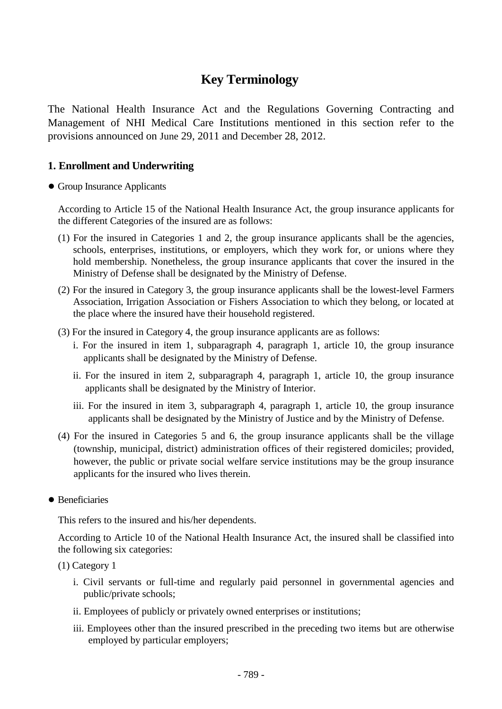# **Key Terminology**

The National Health Insurance Act and the Regulations Governing Contracting and Management of NHI Medical Care Institutions mentioned in this section refer to the provisions announced on June 29, 2011 and December 28, 2012.

## **1. Enrollment and Underwriting**

#### ● Group Insurance Applicants

According to Article 15 of the National Health Insurance Act, the group insurance applicants for the different Categories of the insured are as follows:

- (1) For the insured in Categories 1 and 2, the group insurance applicants shall be the agencies, schools, enterprises, institutions, or employers, which they work for, or unions where they hold membership. Nonetheless, the group insurance applicants that cover the insured in the Ministry of Defense shall be designated by the Ministry of Defense.
- (2) For the insured in Category 3, the group insurance applicants shall be the lowest-level Farmers Association, Irrigation Association or Fishers Association to which they belong, or located at the place where the insured have their household registered.
- (3) For the insured in Category 4, the group insurance applicants are as follows:
	- i. For the insured in item 1, subparagraph 4, paragraph 1, article 10, the group insurance applicants shall be designated by the Ministry of Defense.
	- ii. For the insured in item 2, subparagraph 4, paragraph 1, article 10, the group insurance applicants shall be designated by the Ministry of Interior.
	- iii. For the insured in item 3, subparagraph 4, paragraph 1, article 10, the group insurance applicants shall be designated by the Ministry of Justice and by the Ministry of Defense.
- (4) For the insured in Categories 5 and 6, the group insurance applicants shall be the village (township, municipal, district) administration offices of their registered domiciles; provided, however, the public or private social welfare service institutions may be the group insurance applicants for the insured who lives therein.
- Beneficiaries

This refers to the insured and his/her dependents.

According to Article 10 of the National Health Insurance Act, the insured shall be classified into the following six categories:

- (1) Category 1
	- i. Civil servants or full-time and regularly paid personnel in governmental agencies and public/private schools;
	- ii. Employees of publicly or privately owned enterprises or institutions;
	- iii. Employees other than the insured prescribed in the preceding two items but are otherwise employed by particular employers;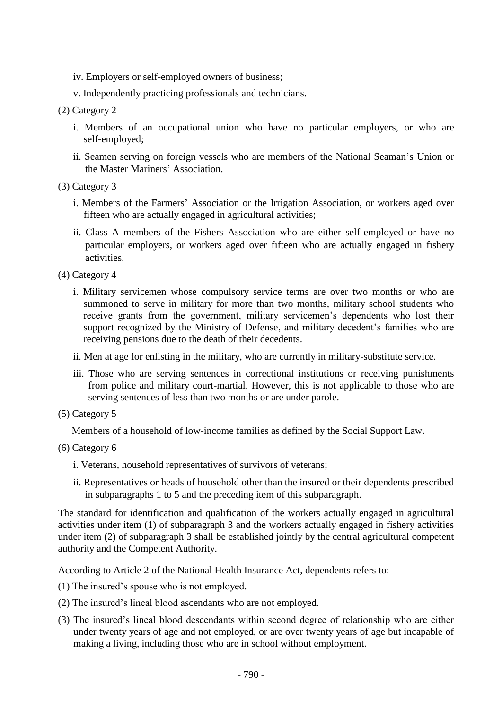- iv. Employers or self-employed owners of business;
- v. Independently practicing professionals and technicians.

#### (2) Category 2

- i. Members of an occupational union who have no particular employers, or who are self-employed;
- ii. Seamen serving on foreign vessels who are members of the National Seaman's Union or the Master Mariners' Association.
- (3) Category 3
	- i. Members of the Farmers' Association or the Irrigation Association, or workers aged over fifteen who are actually engaged in agricultural activities;
	- ii. Class A members of the Fishers Association who are either self-employed or have no particular employers, or workers aged over fifteen who are actually engaged in fishery activities.

(4) Category 4

- i. Military servicemen whose compulsory service terms are over two months or who are summoned to serve in military for more than two months, military school students who receive grants from the government, military servicemen's dependents who lost their support recognized by the Ministry of Defense, and military decedent's families who are receiving pensions due to the death of their decedents.
- ii. Men at age for enlisting in the military, who are currently in military-substitute service.
- iii. Those who are serving sentences in correctional institutions or receiving punishments from police and military court-martial. However, this is not applicable to those who are serving sentences of less than two months or are under parole.
- (5) Category 5

Members of a household of low-income families as defined by the Social Support Law.

#### (6) Category 6

- i. Veterans, household representatives of survivors of veterans;
- ii. Representatives or heads of household other than the insured or their dependents prescribed in subparagraphs 1 to 5 and the preceding item of this subparagraph.

The standard for identification and qualification of the workers actually engaged in agricultural activities under item (1) of subparagraph 3 and the workers actually engaged in fishery activities under item (2) of subparagraph 3 shall be established jointly by the central agricultural competent authority and the Competent Authority.

According to Article 2 of the National Health Insurance Act, dependents refers to:

- (1) The insured's spouse who is not employed.
- (2) The insured's lineal blood ascendants who are not employed.
- (3) The insured's lineal blood descendants within second degree of relationship who are either under twenty years of age and not employed, or are over twenty years of age but incapable of making a living, including those who are in school without employment.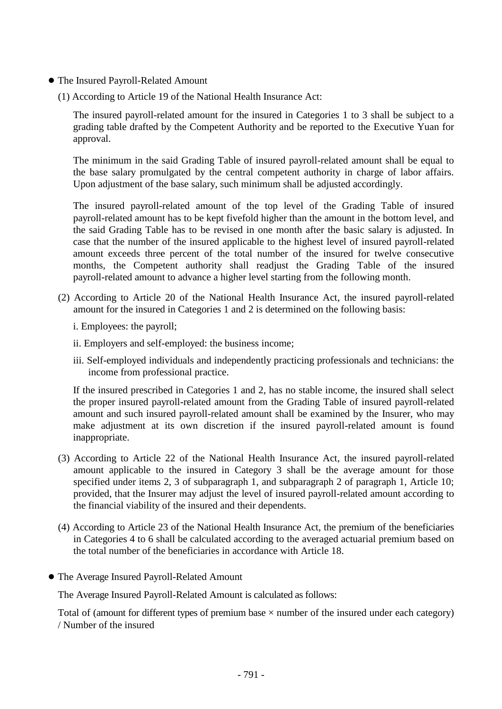- The Insured Payroll-Related Amount
	- (1) According to Article 19 of the National Health Insurance Act:

The insured payroll-related amount for the insured in Categories 1 to 3 shall be subject to a grading table drafted by the Competent Authority and be reported to the Executive Yuan for approval.

The minimum in the said Grading Table of insured payroll-related amount shall be equal to the base salary promulgated by the central competent authority in charge of labor affairs. Upon adjustment of the base salary, such minimum shall be adjusted accordingly.

The insured payroll-related amount of the top level of the Grading Table of insured payroll-related amount has to be kept fivefold higher than the amount in the bottom level, and the said Grading Table has to be revised in one month after the basic salary is adjusted. In case that the number of the insured applicable to the highest level of insured payroll-related amount exceeds three percent of the total number of the insured for twelve consecutive months, the Competent authority shall readjust the Grading Table of the insured payroll-related amount to advance a higher level starting from the following month.

- (2) According to Article 20 of the National Health Insurance Act, the insured payroll-related amount for the insured in Categories 1 and 2 is determined on the following basis:
	- i. Employees: the payroll;
	- ii. Employers and self-employed: the business income;
	- iii. Self-employed individuals and independently practicing professionals and technicians: the income from professional practice.

If the insured prescribed in Categories 1 and 2, has no stable income, the insured shall select the proper insured payroll-related amount from the Grading Table of insured payroll-related amount and such insured payroll-related amount shall be examined by the Insurer, who may make adjustment at its own discretion if the insured payroll-related amount is found inappropriate.

- (3) According to Article 22 of the National Health Insurance Act, the insured payroll-related amount applicable to the insured in Category 3 shall be the average amount for those specified under items 2, 3 of subparagraph 1, and subparagraph 2 of paragraph 1, Article 10; provided, that the Insurer may adjust the level of insured payroll-related amount according to the financial viability of the insured and their dependents.
- (4) According to Article 23 of the National Health Insurance Act, the premium of the beneficiaries in Categories 4 to 6 shall be calculated according to the averaged actuarial premium based on the total number of the beneficiaries in accordance with Article 18.
- The Average Insured Payroll-Related Amount

The Average Insured Payroll-Related Amount is calculated as follows:

Total of (amount for different types of premium base  $\times$  number of the insured under each category) / Number of the insured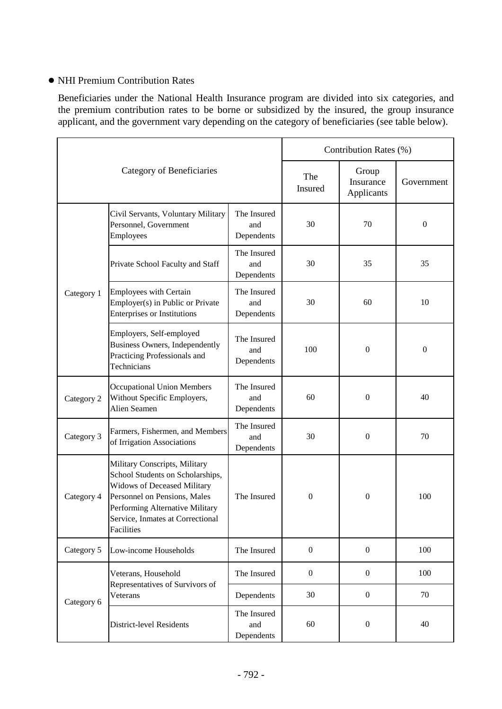## ● NHI Premium Contribution Rates

Beneficiaries under the National Health Insurance program are divided into six categories, and the premium contribution rates to be borne or subsidized by the insured, the group insurance applicant, and the government vary depending on the category of beneficiaries (see table below).

| Category of Beneficiaries |                                                                                                                                                                                                                              |                                  | Contribution Rates (%) |                                  |                  |
|---------------------------|------------------------------------------------------------------------------------------------------------------------------------------------------------------------------------------------------------------------------|----------------------------------|------------------------|----------------------------------|------------------|
|                           |                                                                                                                                                                                                                              |                                  | The<br><b>Insured</b>  | Group<br>Insurance<br>Applicants | Government       |
| Category 1                | Civil Servants, Voluntary Military<br>Personnel, Government<br>Employees                                                                                                                                                     | The Insured<br>and<br>Dependents | 30                     | 70                               | $\boldsymbol{0}$ |
|                           | Private School Faculty and Staff                                                                                                                                                                                             | The Insured<br>and<br>Dependents | 30                     | 35                               | 35               |
|                           | <b>Employees with Certain</b><br>Employer(s) in Public or Private<br><b>Enterprises or Institutions</b>                                                                                                                      | The Insured<br>and<br>Dependents | 30                     | 60                               | 10               |
|                           | Employers, Self-employed<br><b>Business Owners, Independently</b><br>Practicing Professionals and<br>Technicians                                                                                                             | The Insured<br>and<br>Dependents | 100                    | $\boldsymbol{0}$                 | $\boldsymbol{0}$ |
| Category 2                | <b>Occupational Union Members</b><br>Without Specific Employers,<br>Alien Seamen                                                                                                                                             | The Insured<br>and<br>Dependents | 60                     | $\boldsymbol{0}$                 | 40               |
| Category 3                | Farmers, Fishermen, and Members<br>of Irrigation Associations                                                                                                                                                                | The Insured<br>and<br>Dependents | 30                     | $\mathbf{0}$                     | 70               |
| Category 4                | Military Conscripts, Military<br>School Students on Scholarships,<br><b>Widows of Deceased Military</b><br>Personnel on Pensions, Males<br>Performing Alternative Military<br>Service, Inmates at Correctional<br>Facilities | The Insured                      | $\boldsymbol{0}$       | $\mathbf{0}$                     | 100              |
| Category 5                | Low-income Households                                                                                                                                                                                                        | The Insured                      | $\mathbf{0}$           | $\boldsymbol{0}$                 | 100              |
| Category 6                | Veterans, Household<br>Representatives of Survivors of<br>Veterans                                                                                                                                                           | The Insured                      | $\boldsymbol{0}$       | $\boldsymbol{0}$                 | 100              |
|                           |                                                                                                                                                                                                                              | Dependents                       | 30                     | $\boldsymbol{0}$                 | 70               |
|                           | <b>District-level Residents</b>                                                                                                                                                                                              | The Insured<br>and<br>Dependents | 60                     | $\boldsymbol{0}$                 | 40               |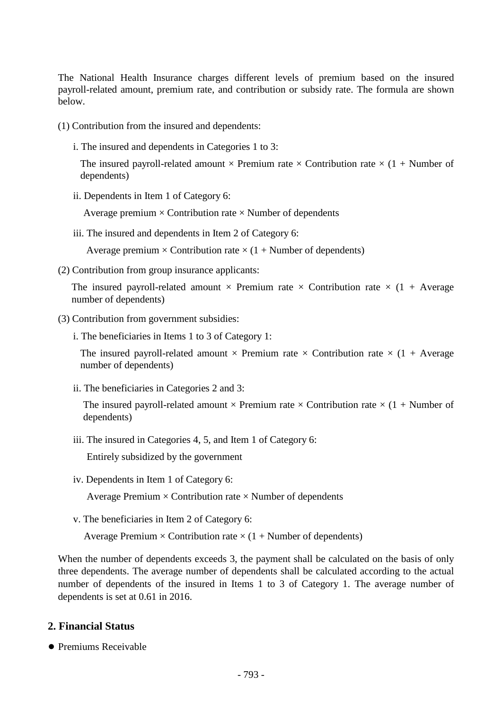The National Health Insurance charges different levels of premium based on the insured payroll-related amount, premium rate, and contribution or subsidy rate. The formula are shown below.

(1) Contribution from the insured and dependents:

i. The insured and dependents in Categories 1 to 3:

The insured payroll-related amount  $\times$  Premium rate  $\times$  Contribution rate  $\times$  (1 + Number of dependents)

ii. Dependents in Item 1 of Category 6:

Average premium  $\times$  Contribution rate  $\times$  Number of dependents

iii. The insured and dependents in Item 2 of Category 6:

Average premium  $\times$  Contribution rate  $\times$  (1 + Number of dependents)

(2) Contribution from group insurance applicants:

The insured payroll-related amount  $\times$  Premium rate  $\times$  Contribution rate  $\times$  (1 + Average number of dependents)

- (3) Contribution from government subsidies:
	- i. The beneficiaries in Items 1 to 3 of Category 1:

The insured payroll-related amount  $\times$  Premium rate  $\times$  Contribution rate  $\times$  (1 + Average number of dependents)

ii. The beneficiaries in Categories 2 and 3:

The insured payroll-related amount  $\times$  Premium rate  $\times$  Contribution rate  $\times$  (1 + Number of dependents)

iii. The insured in Categories 4, 5, and Item 1 of Category 6:

Entirely subsidized by the government

iv. Dependents in Item 1 of Category 6:

Average Premium  $\times$  Contribution rate  $\times$  Number of dependents

v. The beneficiaries in Item 2 of Category 6:

Average Premium  $\times$  Contribution rate  $\times$  (1 + Number of dependents)

When the number of dependents exceeds 3, the payment shall be calculated on the basis of only three dependents. The average number of dependents shall be calculated according to the actual number of dependents of the insured in Items 1 to 3 of Category 1. The average number of dependents is set at 0.61 in 2016.

# **2. Financial Status**

● Premiums Receivable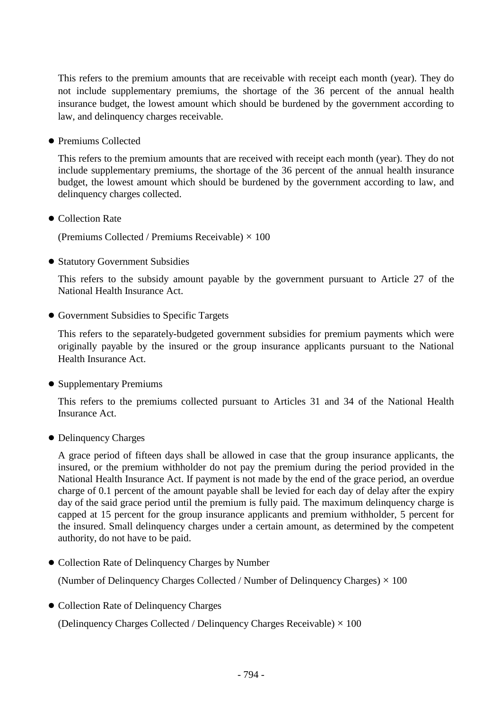This refers to the premium amounts that are receivable with receipt each month (year). They do not include supplementary premiums, the shortage of the 36 percent of the annual health insurance budget, the lowest amount which should be burdened by the government according to law, and delinquency charges receivable.

● Premiums Collected

This refers to the premium amounts that are received with receipt each month (year). They do not include supplementary premiums, the shortage of the 36 percent of the annual health insurance budget, the lowest amount which should be burdened by the government according to law, and delinquency charges collected.

● Collection Rate

(Premiums Collected / Premiums Receivable)  $\times$  100

● Statutory Government Subsidies

This refers to the subsidy amount payable by the government pursuant to Article 27 of the National Health Insurance Act.

● Government Subsidies to Specific Targets

This refers to the separately-budgeted government subsidies for premium payments which were originally payable by the insured or the group insurance applicants pursuant to the National Health Insurance Act.

● Supplementary Premiums

This refers to the premiums collected pursuant to Articles 31 and 34 of the National Health Insurance Act.

● Delinquency Charges

A grace period of fifteen days shall be allowed in case that the group insurance applicants, the insured, or the premium withholder do not pay the premium during the period provided in the National Health Insurance Act. If payment is not made by the end of the grace period, an overdue charge of 0.1 percent of the amount payable shall be levied for each day of delay after the expiry day of the said grace period until the premium is fully paid. The maximum delinquency charge is capped at 15 percent for the group insurance applicants and premium withholder, 5 percent for the insured. Small delinquency charges under a certain amount, as determined by the competent authority, do not have to be paid.

● Collection Rate of Delinquency Charges by Number

(Number of Delinquency Charges Collected / Number of Delinquency Charges)  $\times$  100

● Collection Rate of Delinquency Charges

(Delinquency Charges Collected / Delinquency Charges Receivable)  $\times$  100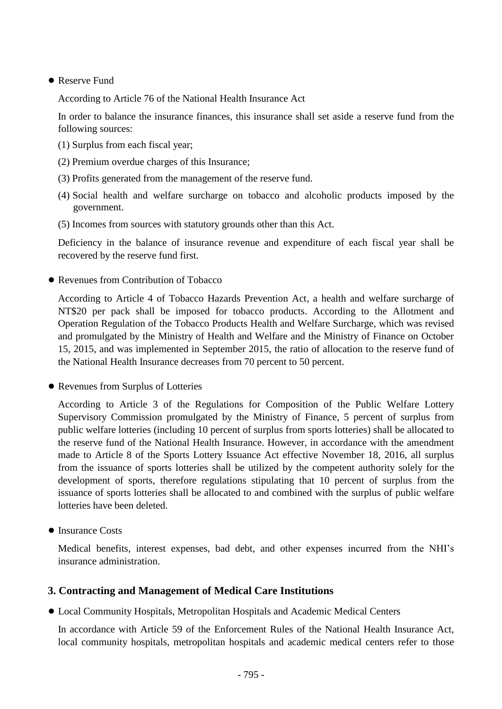## ● Reserve Fund

According to Article 76 of the National Health Insurance Act

In order to balance the insurance finances, this insurance shall set aside a reserve fund from the following sources:

- (1) Surplus from each fiscal year;
- (2) Premium overdue charges of this Insurance;
- (3) Profits generated from the management of the reserve fund.
- (4) Social health and welfare surcharge on tobacco and alcoholic products imposed by the government.
- (5) Incomes from sources with statutory grounds other than this Act.

Deficiency in the balance of insurance revenue and expenditure of each fiscal year shall be recovered by the reserve fund first.

● Revenues from Contribution of Tobacco

According to Article 4 of Tobacco Hazards Prevention Act, a health and welfare surcharge of NT\$20 per pack shall be imposed for tobacco products. According to the Allotment and Operation Regulation of the Tobacco Products Health and Welfare Surcharge, which was revised and promulgated by the Ministry of Health and Welfare and the Ministry of Finance on October 15, 2015, and was implemented in September 2015, the ratio of allocation to the reserve fund of the National Health Insurance decreases from 70 percent to 50 percent.

● Revenues from Surplus of Lotteries

According to Article 3 of the Regulations for Composition of the Public Welfare Lottery Supervisory Commission promulgated by the Ministry of Finance, 5 percent of surplus from public welfare lotteries (including 10 percent of surplus from sports lotteries) shall be allocated to the reserve fund of the National Health Insurance. However, in accordance with the amendment made to Article 8 of the Sports Lottery Issuance Act effective November 18, 2016, all surplus from the issuance of sports lotteries shall be utilized by the competent authority solely for the development of sports, therefore regulations stipulating that 10 percent of surplus from the issuance of sports lotteries shall be allocated to and combined with the surplus of public welfare lotteries have been deleted.

● Insurance Costs

Medical benefits, interest expenses, bad debt, and other expenses incurred from the NHI's insurance administration.

# **3. Contracting and Management of Medical Care Institutions**

● Local Community Hospitals, Metropolitan Hospitals and Academic Medical Centers

In accordance with Article 59 of the Enforcement Rules of the National Health Insurance Act, local community hospitals, metropolitan hospitals and academic medical centers refer to those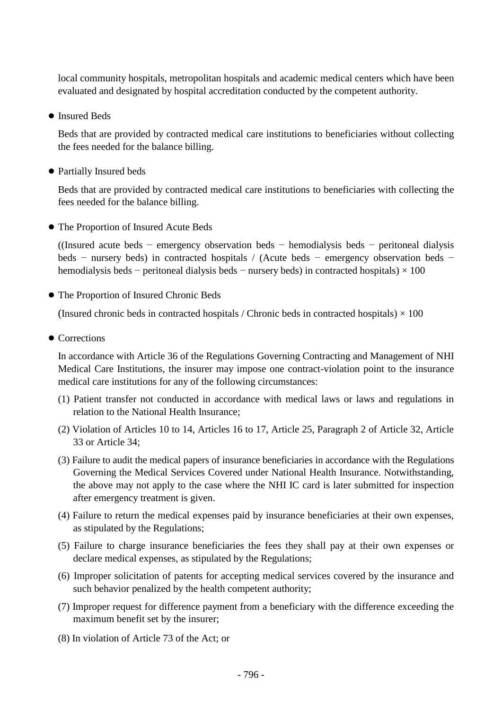local community hospitals, metropolitan hospitals and academic medical centers which have been evaluated and designated by hospital accreditation conducted by the competent authority.

● Insured Beds

Beds that are provided by contracted medical care institutions to beneficiaries without collecting the fees needed for the balance billing.

● Partially Insured beds

Beds that are provided by contracted medical care institutions to beneficiaries with collecting the fees needed for the balance billing.

● The Proportion of Insured Acute Beds

((Insured acute beds − emergency observation beds − hemodialysis beds − peritoneal dialysis beds − nursery beds) in contracted hospitals / (Acute beds − emergency observation beds − hemodialysis beds – peritoneal dialysis beds – nursery beds) in contracted hospitals)  $\times$  100

● The Proportion of Insured Chronic Beds

(Insured chronic beds in contracted hospitals / Chronic beds in contracted hospitals)  $\times$  100

● Corrections

In accordance with Article 36 of the Regulations Governing Contracting and Management of NHI Medical Care Institutions, the insurer may impose one contract-violation point to the insurance medical care institutions for any of the following circumstances:

- (1) Patient transfer not conducted in accordance with medical laws or laws and regulations in relation to the National Health Insurance;
- (2) Violation of Articles 10 to 14, Articles 16 to 17, Article 25, Paragraph 2 of Article 32, Article 33 or Article 34;
- (3) Failure to audit the medical papers of insurance beneficiaries in accordance with the Regulations Governing the Medical Services Covered under National Health Insurance. Notwithstanding, the above may not apply to the case where the NHI IC card is later submitted for inspection after emergency treatment is given.
- (4) Failure to return the medical expenses paid by insurance beneficiaries at their own expenses, as stipulated by the Regulations;
- (5) Failure to charge insurance beneficiaries the fees they shall pay at their own expenses or declare medical expenses, as stipulated by the Regulations;
- (6) Improper solicitation of patents for accepting medical services covered by the insurance and such behavior penalized by the health competent authority;
- (7) Improper request for difference payment from a beneficiary with the difference exceeding the maximum benefit set by the insurer;
- (8) In violation of Article 73 of the Act; or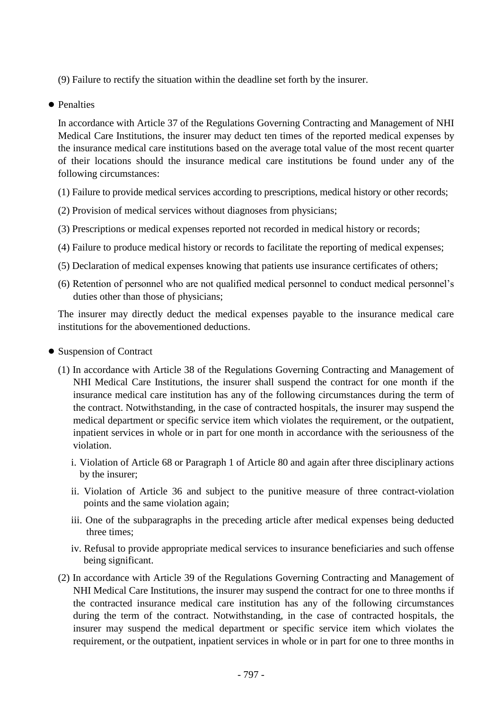(9) Failure to rectify the situation within the deadline set forth by the insurer.

● Penalties

In accordance with Article 37 of the Regulations Governing Contracting and Management of NHI Medical Care Institutions, the insurer may deduct ten times of the reported medical expenses by the insurance medical care institutions based on the average total value of the most recent quarter of their locations should the insurance medical care institutions be found under any of the following circumstances:

- (1) Failure to provide medical services according to prescriptions, medical history or other records;
- (2) Provision of medical services without diagnoses from physicians;
- (3) Prescriptions or medical expenses reported not recorded in medical history or records;
- (4) Failure to produce medical history or records to facilitate the reporting of medical expenses;
- (5) Declaration of medical expenses knowing that patients use insurance certificates of others;
- (6) Retention of personnel who are not qualified medical personnel to conduct medical personnel's duties other than those of physicians;

The insurer may directly deduct the medical expenses payable to the insurance medical care institutions for the abovementioned deductions.

- Suspension of Contract
	- (1) In accordance with Article 38 of the Regulations Governing Contracting and Management of NHI Medical Care Institutions, the insurer shall suspend the contract for one month if the insurance medical care institution has any of the following circumstances during the term of the contract. Notwithstanding, in the case of contracted hospitals, the insurer may suspend the medical department or specific service item which violates the requirement, or the outpatient, inpatient services in whole or in part for one month in accordance with the seriousness of the violation.
		- i. Violation of Article 68 or Paragraph 1 of Article 80 and again after three disciplinary actions by the insurer;
		- ii. Violation of Article 36 and subject to the punitive measure of three contract-violation points and the same violation again;
		- iii. One of the subparagraphs in the preceding article after medical expenses being deducted three times;
		- iv. Refusal to provide appropriate medical services to insurance beneficiaries and such offense being significant.
	- (2) In accordance with Article 39 of the Regulations Governing Contracting and Management of NHI Medical Care Institutions, the insurer may suspend the contract for one to three months if the contracted insurance medical care institution has any of the following circumstances during the term of the contract. Notwithstanding, in the case of contracted hospitals, the insurer may suspend the medical department or specific service item which violates the requirement, or the outpatient, inpatient services in whole or in part for one to three months in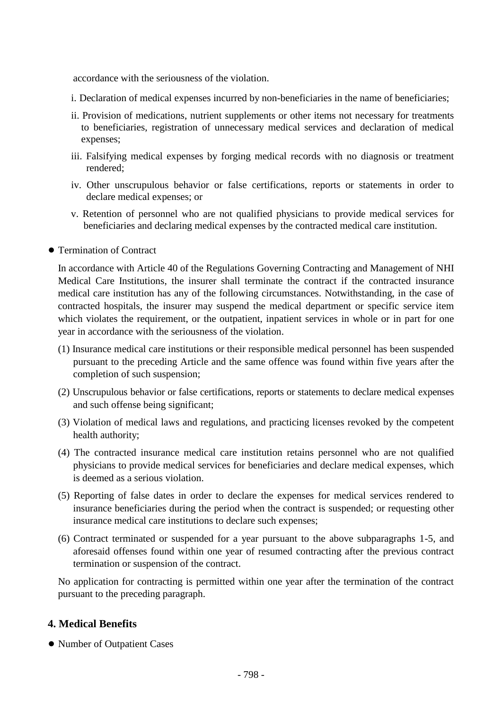accordance with the seriousness of the violation.

- i. Declaration of medical expenses incurred by non-beneficiaries in the name of beneficiaries;
- ii. Provision of medications, nutrient supplements or other items not necessary for treatments to beneficiaries, registration of unnecessary medical services and declaration of medical expenses;
- iii. Falsifying medical expenses by forging medical records with no diagnosis or treatment rendered;
- iv. Other unscrupulous behavior or false certifications, reports or statements in order to declare medical expenses; or
- v. Retention of personnel who are not qualified physicians to provide medical services for beneficiaries and declaring medical expenses by the contracted medical care institution.
- Termination of Contract

In accordance with Article 40 of the Regulations Governing Contracting and Management of NHI Medical Care Institutions, the insurer shall terminate the contract if the contracted insurance medical care institution has any of the following circumstances. Notwithstanding, in the case of contracted hospitals, the insurer may suspend the medical department or specific service item which violates the requirement, or the outpatient, inpatient services in whole or in part for one year in accordance with the seriousness of the violation.

- (1) Insurance medical care institutions or their responsible medical personnel has been suspended pursuant to the preceding Article and the same offence was found within five years after the completion of such suspension;
- (2) Unscrupulous behavior or false certifications, reports or statements to declare medical expenses and such offense being significant;
- (3) Violation of medical laws and regulations, and practicing licenses revoked by the competent health authority;
- (4) The contracted insurance medical care institution retains personnel who are not qualified physicians to provide medical services for beneficiaries and declare medical expenses, which is deemed as a serious violation.
- (5) Reporting of false dates in order to declare the expenses for medical services rendered to insurance beneficiaries during the period when the contract is suspended; or requesting other insurance medical care institutions to declare such expenses;
- (6) Contract terminated or suspended for a year pursuant to the above subparagraphs 1-5, and aforesaid offenses found within one year of resumed contracting after the previous contract termination or suspension of the contract.

No application for contracting is permitted within one year after the termination of the contract pursuant to the preceding paragraph.

## **4. Medical Benefits**

● Number of Outpatient Cases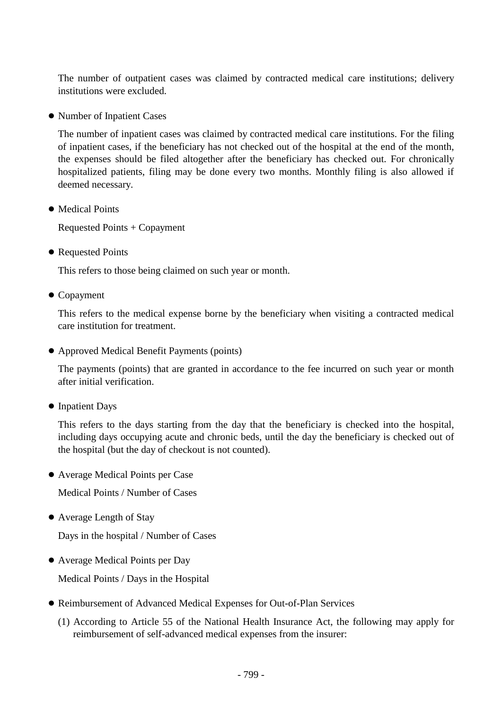The number of outpatient cases was claimed by contracted medical care institutions; delivery institutions were excluded.

● Number of Inpatient Cases

The number of inpatient cases was claimed by contracted medical care institutions. For the filing of inpatient cases, if the beneficiary has not checked out of the hospital at the end of the month, the expenses should be filed altogether after the beneficiary has checked out. For chronically hospitalized patients, filing may be done every two months. Monthly filing is also allowed if deemed necessary.

● Medical Points

Requested Points + Copayment

● Requested Points

This refers to those being claimed on such year or month.

● Copayment

This refers to the medical expense borne by the beneficiary when visiting a contracted medical care institution for treatment.

● Approved Medical Benefit Payments (points)

The payments (points) that are granted in accordance to the fee incurred on such year or month after initial verification.

● Inpatient Days

This refers to the days starting from the day that the beneficiary is checked into the hospital, including days occupying acute and chronic beds, until the day the beneficiary is checked out of the hospital (but the day of checkout is not counted).

● Average Medical Points per Case

Medical Points / Number of Cases

● Average Length of Stay

Days in the hospital / Number of Cases

● Average Medical Points per Day

Medical Points / Days in the Hospital

- Reimbursement of Advanced Medical Expenses for Out-of-Plan Services
	- (1) According to Article 55 of the National Health Insurance Act, the following may apply for reimbursement of self-advanced medical expenses from the insurer: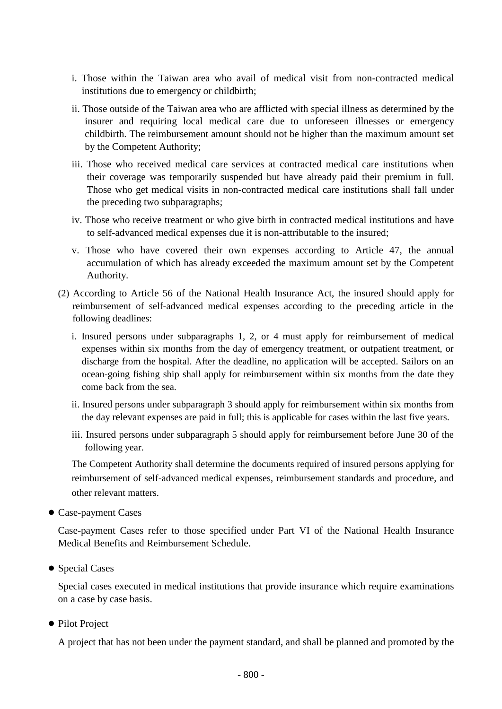- i. Those within the Taiwan area who avail of medical visit from non-contracted medical institutions due to emergency or childbirth;
- ii. Those outside of the Taiwan area who are afflicted with special illness as determined by the insurer and requiring local medical care due to unforeseen illnesses or emergency childbirth. The reimbursement amount should not be higher than the maximum amount set by the Competent Authority;
- iii. Those who received medical care services at contracted medical care institutions when their coverage was temporarily suspended but have already paid their premium in full. Those who get medical visits in non-contracted medical care institutions shall fall under the preceding two subparagraphs;
- iv. Those who receive treatment or who give birth in contracted medical institutions and have to self-advanced medical expenses due it is non-attributable to the insured;
- v. Those who have covered their own expenses according to Article 47, the annual accumulation of which has already exceeded the maximum amount set by the Competent Authority.
- (2) According to Article 56 of the National Health Insurance Act, the insured should apply for reimbursement of self-advanced medical expenses according to the preceding article in the following deadlines:
	- i. Insured persons under subparagraphs 1, 2, or 4 must apply for reimbursement of medical expenses within six months from the day of emergency treatment, or outpatient treatment, or discharge from the hospital. After the deadline, no application will be accepted. Sailors on an ocean-going fishing ship shall apply for reimbursement within six months from the date they come back from the sea.
	- ii. Insured persons under subparagraph 3 should apply for reimbursement within six months from the day relevant expenses are paid in full; this is applicable for cases within the last five years.
	- iii. Insured persons under subparagraph 5 should apply for reimbursement before June 30 of the following year.

The Competent Authority shall determine the documents required of insured persons applying for reimbursement of self-advanced medical expenses, reimbursement standards and procedure, and other relevant matters.

● Case-payment Cases

Case-payment Cases refer to those specified under Part VI of the National Health Insurance Medical Benefits and Reimbursement Schedule.

● Special Cases

Special cases executed in medical institutions that provide insurance which require examinations on a case by case basis.

● Pilot Project

A project that has not been under the payment standard, and shall be planned and promoted by the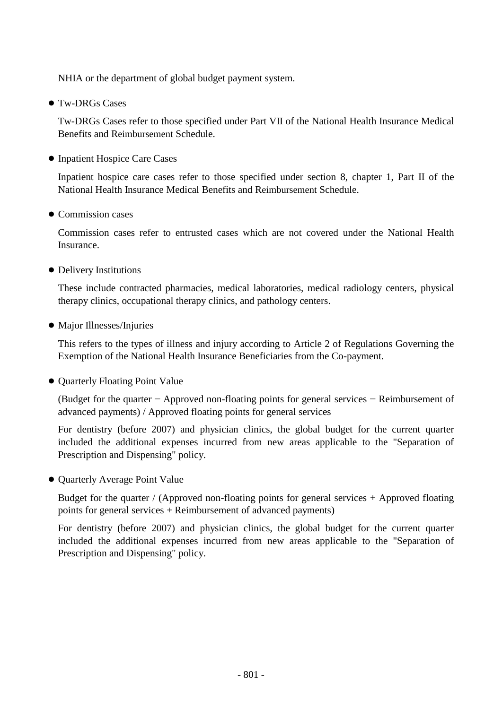NHIA or the department of global budget payment system.

● Tw-DRGs Cases

Tw-DRGs Cases refer to those specified under Part VII of the National Health Insurance Medical Benefits and Reimbursement Schedule.

● Inpatient Hospice Care Cases

Inpatient hospice care cases refer to those specified under section 8, chapter 1, Part II of the National Health Insurance Medical Benefits and Reimbursement Schedule.

● Commission cases

Commission cases refer to entrusted cases which are not covered under the National Health Insurance.

● Delivery Institutions

These include contracted pharmacies, medical laboratories, medical radiology centers, physical therapy clinics, occupational therapy clinics, and pathology centers.

● Major Illnesses/Injuries

This refers to the types of illness and injury according to Article 2 of Regulations Governing the Exemption of the National Health Insurance Beneficiaries from the Co-payment.

● Quarterly Floating Point Value

(Budget for the quarter − Approved non-floating points for general services − Reimbursement of advanced payments) / Approved floating points for general services

For dentistry (before 2007) and physician clinics, the global budget for the current quarter included the additional expenses incurred from new areas applicable to the "Separation of Prescription and Dispensing" policy.

● Quarterly Average Point Value

Budget for the quarter / (Approved non-floating points for general services + Approved floating points for general services + Reimbursement of advanced payments)

For dentistry (before 2007) and physician clinics, the global budget for the current quarter included the additional expenses incurred from new areas applicable to the "Separation of Prescription and Dispensing" policy.